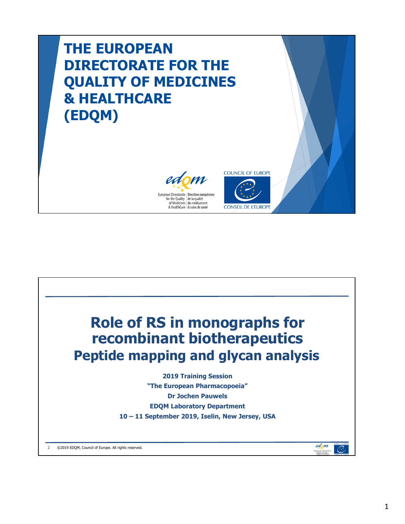# **THE EUROPEAN DIRECTORATE FOR THE QUALITY OF MEDICINES & HEALTHCARE (EDQM)**





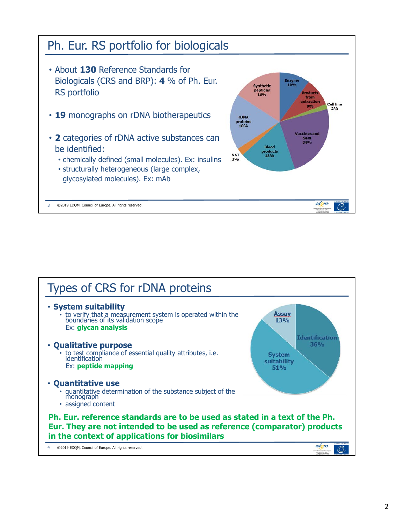

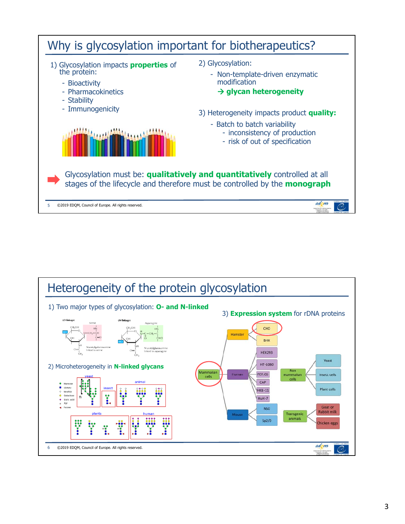

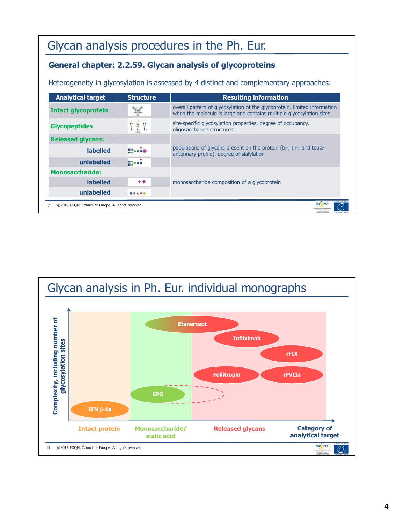## Glycan analysis procedures in the Ph. Eur.

#### **General chapter: 2.2.59. Glycan analysis of glycoproteins**

Heterogeneity in glycosylation is assessed by 4 distinct and complementary approaches:

| <b>Analytical target</b>   | <b>Structure</b>      | <b>Resulting information</b>                                                                                                                      |
|----------------------------|-----------------------|---------------------------------------------------------------------------------------------------------------------------------------------------|
| <b>Intact glycoprotein</b> | $11 - 10 - 11$        | overall pattern of glycosylation of the glycoprotein, limited information<br>when the molecule is large and contains multiple glycosylation sites |
| <b>Glycopeptides</b>       | III                   | site-specific glycosylation properties, degree of occupancy,<br>oligosaccharide structures                                                        |
| <b>Released glycans:</b>   |                       |                                                                                                                                                   |
| <b>labelled</b>            | 120000                | populations of glycans present on the protein (bi-, tri-, and tetra-<br>antennary profile), degree of sialylation                                 |
| unlabelled                 | $12 - 1$              |                                                                                                                                                   |
| <b>Monosaccharide:</b>     |                       |                                                                                                                                                   |
| <b>labelled</b>            | $^{\tiny{\textcirc}}$ | monosaccharide composition of a glycoprotein                                                                                                      |
| unlabelled                 | <b>BOA 00</b>         |                                                                                                                                                   |

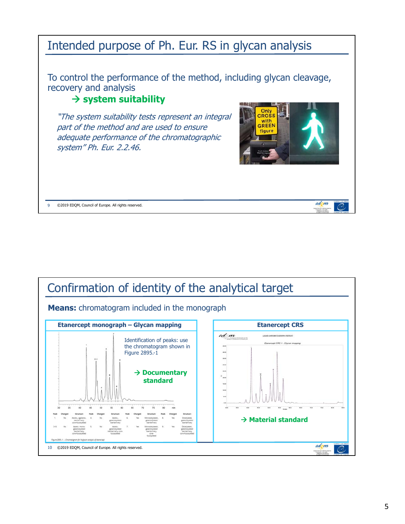### Intended purpose of Ph. Eur. RS in glycan analysis

To control the performance of the method, including glycan cleavage, recovery and analysis

#### **system suitability**

"The system suitability tests represent an integral part of the method and are used to ensure adequate performance of the chromatographic system" Ph. Eur. 2.2.46.



edom

9 ©2019 EDQM, Council of Europe. All rights reserved.

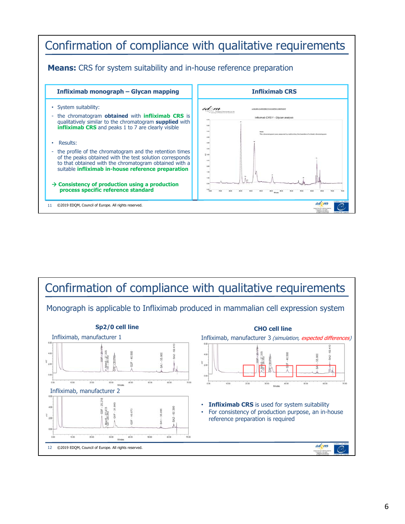

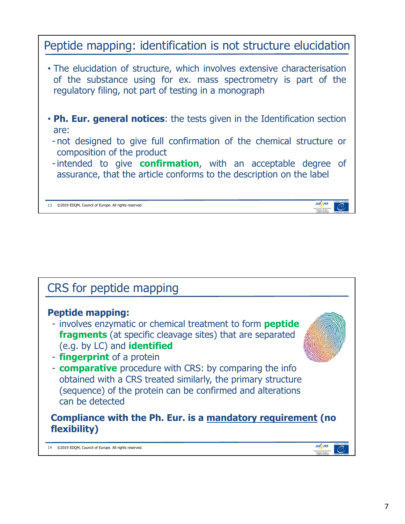### Peptide mapping: identification is not structure elucidation

- The elucidation of structure, which involves extensive characterisation of the substance using for ex. mass spectrometry is part of the regulatory filing, not part of testing in a monograph
- **Ph. Eur. general notices**: the tests given in the Identification section are:
	- not designed to give full confirmation of the chemical structure or composition of the product
	- intended to give **confirmation**, with an acceptable degree of assurance, that the article conforms to the description on the label

13 ©2019 EDQM, Council of Europe. All rights reserved.



edom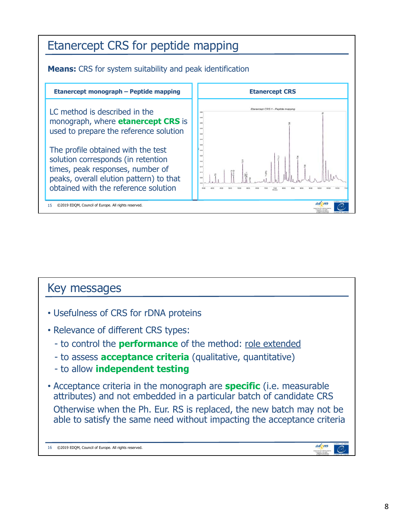